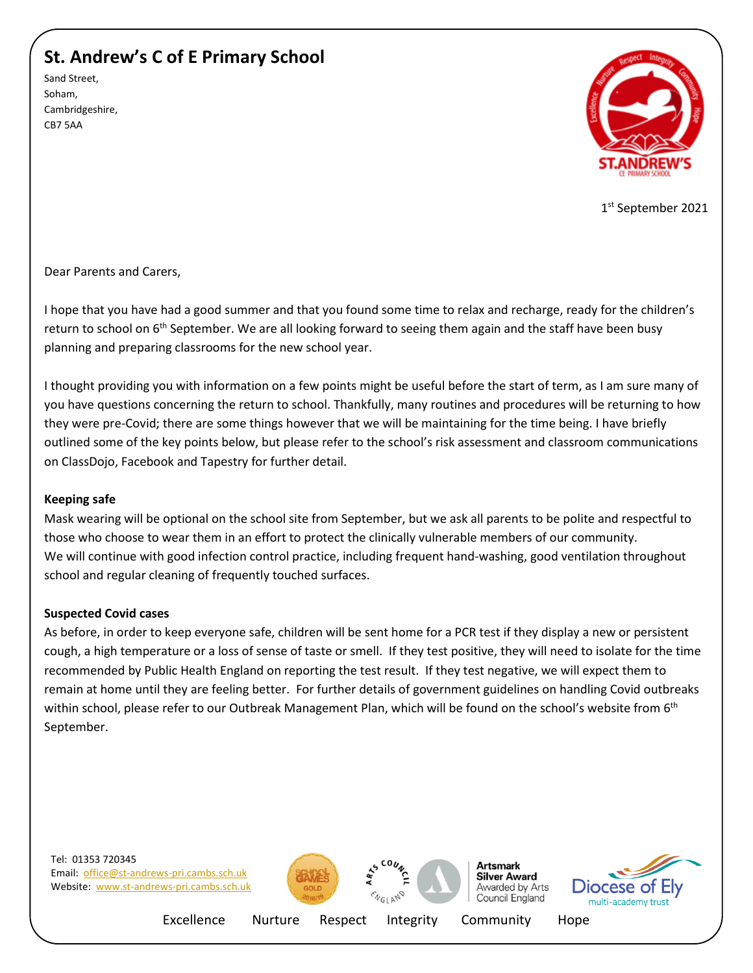# **St. Andrew's C of E Primary School**

Sand Street, Soham, Cambridgeshire, CB7 5AA



1st September 2021

Dear Parents and Carers,

I hope that you have had a good summer and that you found some time to relax and recharge, ready for the children's return to school on 6<sup>th</sup> September. We are all looking forward to seeing them again and the staff have been busy planning and preparing classrooms for the new school year.

I thought providing you with information on a few points might be useful before the start of term, as I am sure many of you have questions concerning the return to school. Thankfully, many routines and procedures will be returning to how they were pre-Covid; there are some things however that we will be maintaining for the time being. I have briefly outlined some of the key points below, but please refer to the school's risk assessment and classroom communications on ClassDojo, Facebook and Tapestry for further detail.

### **Keeping safe**

Mask wearing will be optional on the school site from September, but we ask all parents to be polite and respectful to those who choose to wear them in an effort to protect the clinically vulnerable members of our community. We will continue with good infection control practice, including frequent hand-washing, good ventilation throughout school and regular cleaning of frequently touched surfaces.

### **Suspected Covid cases**

As before, in order to keep everyone safe, children will be sent home for a PCR test if they display a new or persistent cough, a high temperature or a loss of sense of taste or smell. If they test positive, they will need to isolate for the time recommended by Public Health England on reporting the test result. If they test negative, we will expect them to remain at home until they are feeling better. For further details of government guidelines on handling Covid outbreaks within school, please refer to our Outbreak Management Plan, which will be found on the school's website from 6<sup>th</sup> September.







**Artsmark Silver Award** Awarded by Arts Council England



Excellence Nurture Respect Integrity Community Hope